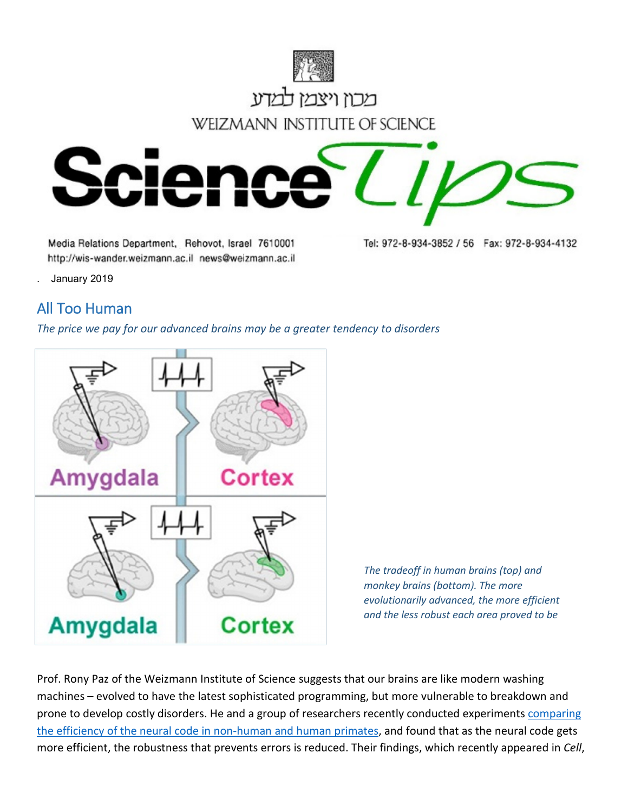

Media Relations Department, Rehovot, Israel 7610001 http://wis-wander.weizmann.ac.il news@weizmann.ac.il Tel: 972-8-934-3852 / 56 Fax: 972-8-934-4132

. January 2019

## All Too Human

*The price we pay for our advanced brains may be a greater tendency to disorders*



*The tradeoff in human brains (top) and monkey brains (bottom). The more evolutionarily advanced, the more efficient and the less robust each area proved to be*

Prof. Rony Paz of the Weizmann Institute of Science suggests that our brains are like modern washing machines – evolved to have the latest sophisticated programming, but more vulnerable to breakdown and prone to develop costly disorders. He and a group of researchers recently conducted experiments comparing [the efficiency of the neural code in non-human and human primates,](https://www.sciencedirect.com/science/article/pii/S0092867418316465) and found that as the neural code gets more efficient, the robustness that prevents errors is reduced. Their findings, which recently appeared in *Cell*,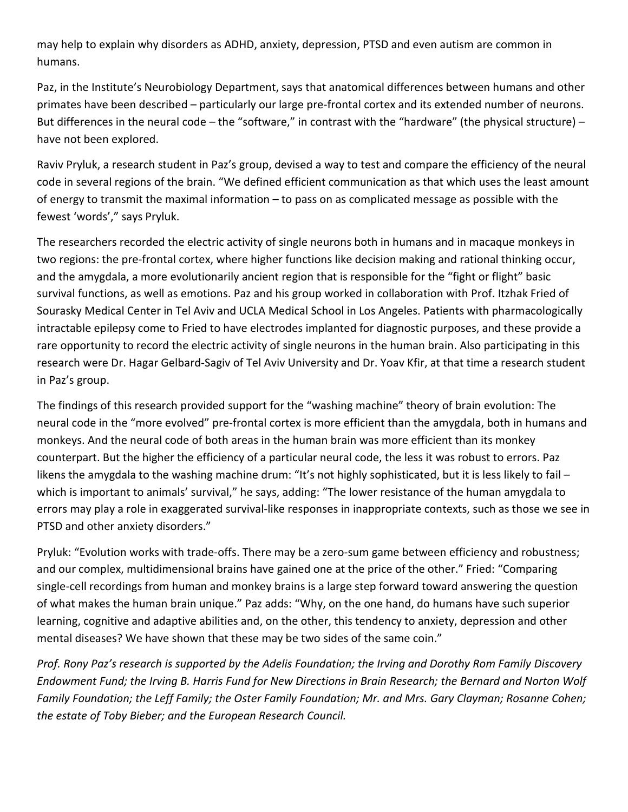may help to explain why disorders as ADHD, anxiety, depression, PTSD and even autism are common in humans.

Paz, in the Institute's Neurobiology Department, says that anatomical differences between humans and other primates have been described – particularly our large pre-frontal cortex and its extended number of neurons. But differences in the neural code – the "software," in contrast with the "hardware" (the physical structure) – have not been explored.

Raviv Pryluk, a research student in Paz's group, devised a way to test and compare the efficiency of the neural code in several regions of the brain. "We defined efficient communication as that which uses the least amount of energy to transmit the maximal information – to pass on as complicated message as possible with the fewest 'words'," says Pryluk.

The researchers recorded the electric activity of single neurons both in humans and in macaque monkeys in two regions: the pre-frontal cortex, where higher functions like decision making and rational thinking occur, and the amygdala, a more evolutionarily ancient region that is responsible for the "fight or flight" basic survival functions, as well as emotions. Paz and his group worked in collaboration with Prof. Itzhak Fried of Sourasky Medical Center in Tel Aviv and UCLA Medical School in Los Angeles. Patients with pharmacologically intractable epilepsy come to Fried to have electrodes implanted for diagnostic purposes, and these provide a rare opportunity to record the electric activity of single neurons in the human brain. Also participating in this research were Dr. Hagar Gelbard-Sagiv of Tel Aviv University and Dr. Yoav Kfir, at that time a research student in Paz's group.

The findings of this research provided support for the "washing machine" theory of brain evolution: The neural code in the "more evolved" pre-frontal cortex is more efficient than the amygdala, both in humans and monkeys. And the neural code of both areas in the human brain was more efficient than its monkey counterpart. But the higher the efficiency of a particular neural code, the less it was robust to errors. Paz likens the amygdala to the washing machine drum: "It's not highly sophisticated, but it is less likely to fail – which is important to animals' survival," he says, adding: "The lower resistance of the human amygdala to errors may play a role in exaggerated survival-like responses in inappropriate contexts, such as those we see in PTSD and other anxiety disorders."

Pryluk: "Evolution works with trade-offs. There may be a zero-sum game between efficiency and robustness; and our complex, multidimensional brains have gained one at the price of the other." Fried: "Comparing single-cell recordings from human and monkey brains is a large step forward toward answering the question of what makes the human brain unique." Paz adds: "Why, on the one hand, do humans have such superior learning, cognitive and adaptive abilities and, on the other, this tendency to anxiety, depression and other mental diseases? We have shown that these may be two sides of the same coin."

*Prof. Rony Paz's research is supported by the Adelis Foundation; the Irving and Dorothy Rom Family Discovery Endowment Fund; the Irving B. Harris Fund for New Directions in Brain Research; the Bernard and Norton Wolf Family Foundation; the Leff Family; the Oster Family Foundation; Mr. and Mrs. Gary Clayman; Rosanne Cohen; the estate of Toby Bieber; and the European Research Council.*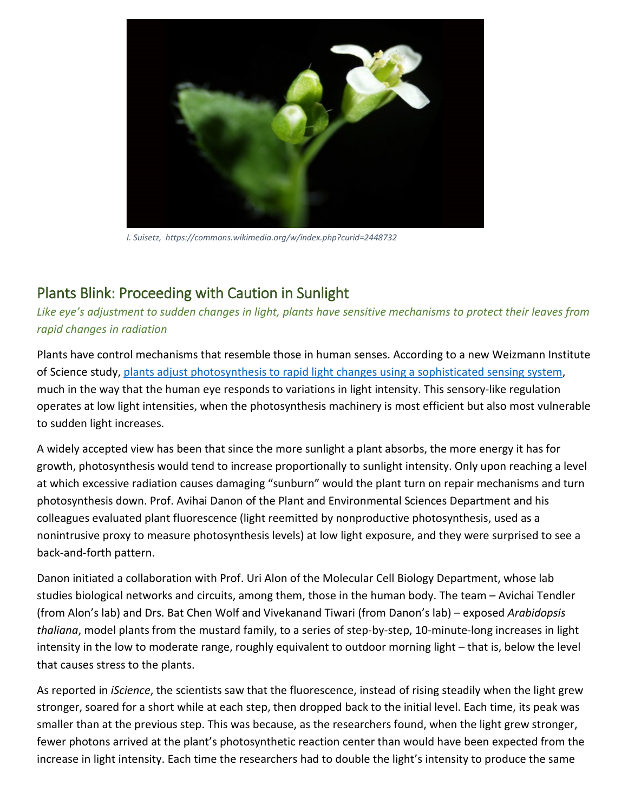

*I. Suisetz, https://commons.wikimedia.org/w/index.php?curid=2448732*

## Plants Blink: Proceeding with Caution in Sunlight

*Like eye's adjustment to sudden changes in light, plants have sensitive mechanisms to protect their leaves from rapid changes in radiation*

Plants have control mechanisms that resemble those in human senses. According to a new Weizmann Institute of Science study, plants adjust photosynthesis [to rapid light changes using a sophisticated sensing system,](https://www.sciencedirect.com/science/article/pii/S2589004218301548?via%3Dihub) much in the way that the human eye responds to variations in light intensity. This sensory-like regulation operates at low light intensities, when the photosynthesis machinery is most efficient but also most vulnerable to sudden light increases.

A widely accepted view has been that since the more sunlight a plant absorbs, the more energy it has for growth, photosynthesis would tend to increase proportionally to sunlight intensity. Only upon reaching a level at which excessive radiation causes damaging "sunburn" would the plant turn on repair mechanisms and turn photosynthesis down. Prof. Avihai Danon of the Plant and Environmental Sciences Department and his colleagues evaluated plant fluorescence (light reemitted by nonproductive photosynthesis, used as a nonintrusive proxy to measure photosynthesis levels) at low light exposure, and they were surprised to see a back-and-forth pattern.

Danon initiated a collaboration with Prof. Uri Alon of the Molecular Cell Biology Department, whose lab studies biological networks and circuits, among them, those in the human body. The team – Avichai Tendler (from Alon's lab) and Drs. Bat Chen Wolf and Vivekanand Tiwari (from Danon's lab) – exposed *Arabidopsis thaliana*, model plants from the mustard family, to a series of step-by-step, 10-minute-long increases in light intensity in the low to moderate range, roughly equivalent to outdoor morning light – that is, below the level that causes stress to the plants.

As reported in *iScience*, the scientists saw that the fluorescence, instead of rising steadily when the light grew stronger, soared for a short while at each step, then dropped back to the initial level. Each time, its peak was smaller than at the previous step. This was because, as the researchers found, when the light grew stronger, fewer photons arrived at the plant's photosynthetic reaction center than would have been expected from the increase in light intensity. Each time the researchers had to double the light's intensity to produce the same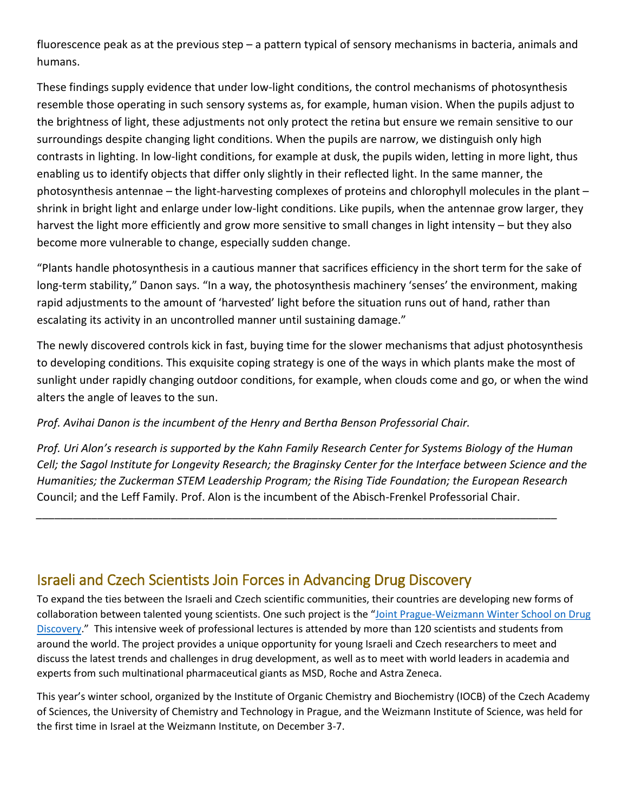fluorescence peak as at the previous step – a pattern typical of sensory mechanisms in bacteria, animals and humans.

These findings supply evidence that under low-light conditions, the control mechanisms of photosynthesis resemble those operating in such sensory systems as, for example, human vision. When the pupils adjust to the brightness of light, these adjustments not only protect the retina but ensure we remain sensitive to our surroundings despite changing light conditions. When the pupils are narrow, we distinguish only high contrasts in lighting. In low-light conditions, for example at dusk, the pupils widen, letting in more light, thus enabling us to identify objects that differ only slightly in their reflected light. In the same manner, the photosynthesis antennae – the light-harvesting complexes of proteins and chlorophyll molecules in the plant – shrink in bright light and enlarge under low-light conditions. Like pupils, when the antennae grow larger, they harvest the light more efficiently and grow more sensitive to small changes in light intensity – but they also become more vulnerable to change, especially sudden change.

"Plants handle photosynthesis in a cautious manner that sacrifices efficiency in the short term for the sake of long-term stability," Danon says. "In a way, the photosynthesis machinery 'senses' the environment, making rapid adjustments to the amount of 'harvested' light before the situation runs out of hand, rather than escalating its activity in an uncontrolled manner until sustaining damage."

The newly discovered controls kick in fast, buying time for the slower mechanisms that adjust photosynthesis to developing conditions. This exquisite coping strategy is one of the ways in which plants make the most of sunlight under rapidly changing outdoor conditions, for example, when clouds come and go, or when the wind alters the angle of leaves to the sun.

## *Prof. Avihai Danon is the incumbent of the Henry and Bertha Benson Professorial Chair.*

*Prof. Uri Alon's research is supported by the Kahn Family Research Center for Systems Biology of the Human Cell; the Sagol Institute for Longevity Research; the Braginsky Center for the Interface between Science and the Humanities; the Zuckerman STEM Leadership Program; the Rising Tide Foundation; the European Research*  Council; and the Leff Family. Prof. Alon is the incumbent of the Abisch-Frenkel Professorial Chair.

*\_\_\_\_\_\_\_\_\_\_\_\_\_\_\_\_\_\_\_\_\_\_\_\_\_\_\_\_\_\_\_\_\_\_\_\_\_\_\_\_\_\_\_\_\_\_\_\_\_\_\_\_\_\_\_\_\_\_\_\_\_\_\_\_\_\_\_\_\_\_\_\_\_\_\_\_\_\_\_\_\_\_\_\_\_*

## Israeli and Czech Scientists Join Forces in Advancing Drug Discovery

To expand the ties between the Israeli and Czech scientific communities, their countries are developing new forms of collaboration between talented young scientists. One such project is the "Joint Prague-Weizmann Winter School on Drug [Discovery.](http://www.weizmann.ac.il/conferences/WSDD2018/joint-prague-weizmann-winter-school-drug-discovery)" This intensive week of professional lectures is attended by more than 120 scientists and students from around the world. The project provides a unique opportunity for young Israeli and Czech researchers to meet and discuss the latest trends and challenges in drug development, as well as to meet with world leaders in academia and experts from such multinational pharmaceutical giants as MSD, Roche and Astra Zeneca.

This year's winter school, organized by the Institute of Organic Chemistry and Biochemistry (IOCB) of the Czech Academy of Sciences, the University of Chemistry and Technology in Prague, and the Weizmann Institute of Science, was held for the first time in Israel at the Weizmann Institute, on December 3-7.